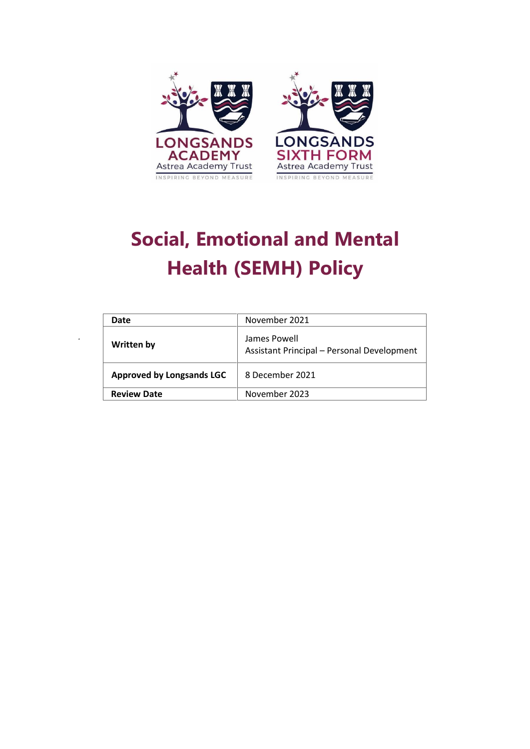

# **Social, Emotional and Mental Health (SEMH) Policy**

| Date                             | November 2021                                              |
|----------------------------------|------------------------------------------------------------|
| Written by                       | James Powell<br>Assistant Principal - Personal Development |
| <b>Approved by Longsands LGC</b> | 8 December 2021                                            |
| <b>Review Date</b>               | November 2023                                              |

*.*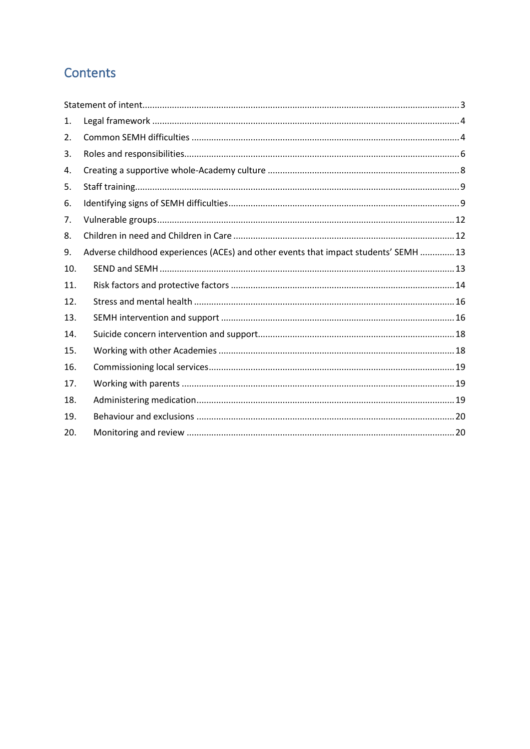# **Contents**

| 1.  |                                                                                      |
|-----|--------------------------------------------------------------------------------------|
| 2.  |                                                                                      |
| 3.  |                                                                                      |
| 4.  |                                                                                      |
| 5.  |                                                                                      |
| 6.  |                                                                                      |
| 7.  |                                                                                      |
| 8.  |                                                                                      |
| 9.  | Adverse childhood experiences (ACEs) and other events that impact students' SEMH  13 |
| 10. |                                                                                      |
| 11. |                                                                                      |
| 12. |                                                                                      |
| 13. |                                                                                      |
| 14. |                                                                                      |
| 15. |                                                                                      |
| 16. |                                                                                      |
| 17. |                                                                                      |
| 18. |                                                                                      |
| 19. |                                                                                      |
| 20. |                                                                                      |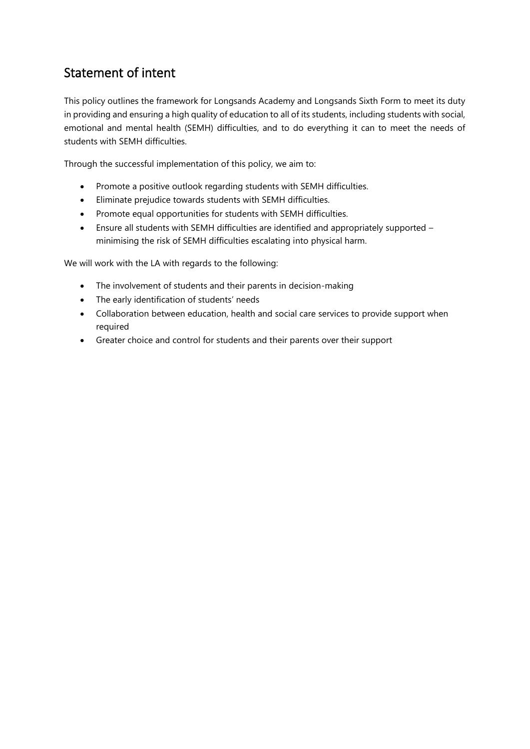# <span id="page-2-0"></span>Statement of intent

This policy outlines the framework for Longsands Academy and Longsands Sixth Form to meet its duty in providing and ensuring a high quality of education to all of its students, including students with social, emotional and mental health (SEMH) difficulties, and to do everything it can to meet the needs of students with SEMH difficulties.

Through the successful implementation of this policy, we aim to:

- Promote a positive outlook regarding students with SEMH difficulties.
- Eliminate prejudice towards students with SEMH difficulties.
- Promote equal opportunities for students with SEMH difficulties.
- Ensure all students with SEMH difficulties are identified and appropriately supported minimising the risk of SEMH difficulties escalating into physical harm.

We will work with the LA with regards to the following:

- The involvement of students and their parents in decision-making
- The early identification of students' needs
- Collaboration between education, health and social care services to provide support when required
- Greater choice and control for students and their parents over their support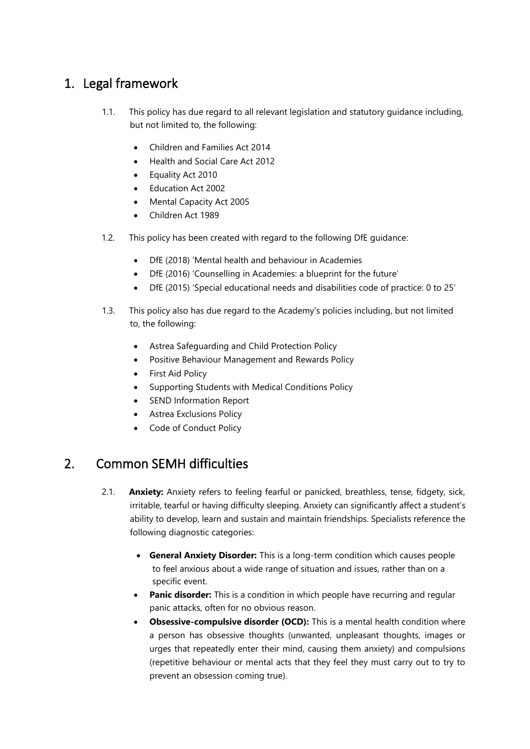# <span id="page-3-0"></span>1. Legal framework

- 1.1. This policy has due regard to all relevant legislation and statutory guidance including, but not limited to, the following:
	- Children and Families Act 2014
	- Health and Social Care Act 2012
	- Equality Act 2010
	- Education Act 2002
	- Mental Capacity Act 2005
	- Children Act 1989
- 1.2. This policy has been created with regard to the following DfE guidance:
	- DfE (2018) 'Mental health and behaviour in Academies
	- DfE (2016) 'Counselling in Academies: a blueprint for the future'
	- DfE (2015) 'Special educational needs and disabilities code of practice: 0 to 25'
- 1.3. This policy also has due regard to the Academy's policies including, but not limited to, the following:
	- Astrea Safeguarding and Child Protection Policy
	- Positive Behaviour Management and Rewards Policy
	- First Aid Policy
	- Supporting Students with Medical Conditions Policy
	- SEND Information Report
	- Astrea Exclusions Policy
	- **Code of Conduct Policy**

## <span id="page-3-1"></span>2. Common SEMH difficulties

- 2.1. **Anxiety:** Anxiety refers to feeling fearful or panicked, breathless, tense, fidgety, sick, irritable, tearful or having difficulty sleeping. Anxiety can significantly affect a student's ability to develop, learn and sustain and maintain friendships. Specialists reference the following diagnostic categories:
	- **General Anxiety Disorder:** This is a long-term condition which causes people to feel anxious about a wide range of situation and issues, rather than on a specific event.
	- **Panic disorder:** This is a condition in which people have recurring and regular panic attacks, often for no obvious reason.
	- **Obsessive-compulsive disorder (OCD):** This is a mental health condition where a person has obsessive thoughts (unwanted, unpleasant thoughts, images or urges that repeatedly enter their mind, causing them anxiety) and compulsions (repetitive behaviour or mental acts that they feel they must carry out to try to prevent an obsession coming true).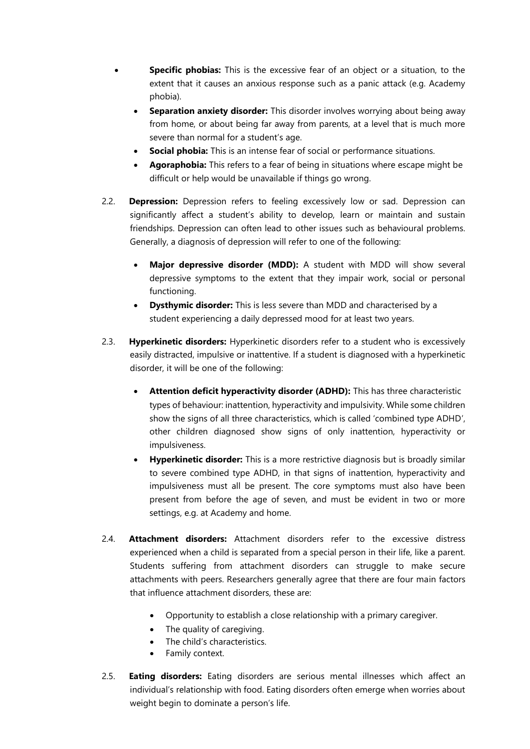- **Specific phobias:** This is the excessive fear of an object or a situation, to the extent that it causes an anxious response such as a panic attack (e.g. Academy phobia).
	- **Separation anxiety disorder:** This disorder involves worrying about being away from home, or about being far away from parents, at a level that is much more severe than normal for a student's age.
	- **Social phobia:** This is an intense fear of social or performance situations.
	- **Agoraphobia:** This refers to a fear of being in situations where escape might be difficult or help would be unavailable if things go wrong.
- 2.2. **Depression:** Depression refers to feeling excessively low or sad. Depression can significantly affect a student's ability to develop, learn or maintain and sustain friendships. Depression can often lead to other issues such as behavioural problems. Generally, a diagnosis of depression will refer to one of the following:
	- **Major depressive disorder (MDD):** A student with MDD will show several depressive symptoms to the extent that they impair work, social or personal functioning.
	- **Dysthymic disorder:** This is less severe than MDD and characterised by a student experiencing a daily depressed mood for at least two years.
- 2.3. **Hyperkinetic disorders:** Hyperkinetic disorders refer to a student who is excessively easily distracted, impulsive or inattentive. If a student is diagnosed with a hyperkinetic disorder, it will be one of the following:
	- **Attention deficit hyperactivity disorder (ADHD):** This has three characteristic types of behaviour: inattention, hyperactivity and impulsivity. While some children show the signs of all three characteristics, which is called 'combined type ADHD', other children diagnosed show signs of only inattention, hyperactivity or impulsiveness.
	- **Hyperkinetic disorder:** This is a more restrictive diagnosis but is broadly similar to severe combined type ADHD, in that signs of inattention, hyperactivity and impulsiveness must all be present. The core symptoms must also have been present from before the age of seven, and must be evident in two or more settings, e.g. at Academy and home.
- 2.4. **Attachment disorders:** Attachment disorders refer to the excessive distress experienced when a child is separated from a special person in their life, like a parent. Students suffering from attachment disorders can struggle to make secure attachments with peers. Researchers generally agree that there are four main factors that influence attachment disorders, these are:
	- Opportunity to establish a close relationship with a primary caregiver.
	- The quality of caregiving.
	- The child's characteristics.
	- Family context.
- 2.5. **Eating disorders:** Eating disorders are serious mental illnesses which affect an individual's relationship with food. Eating disorders often emerge when worries about weight begin to dominate a person's life.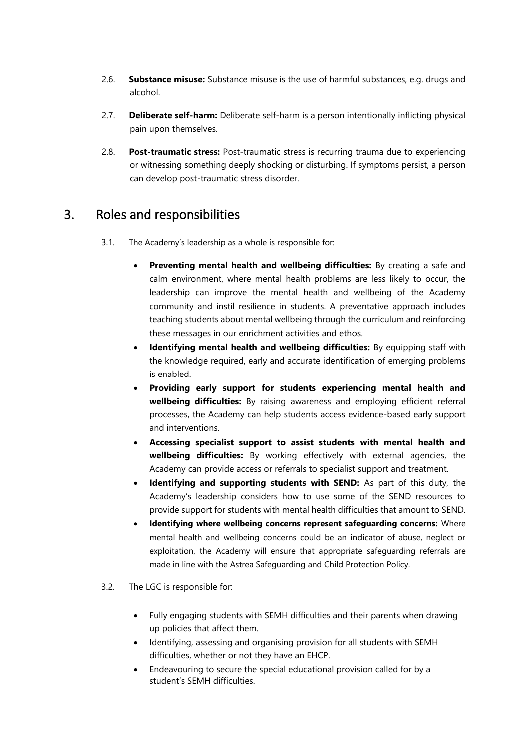- 2.6. **Substance misuse:** Substance misuse is the use of harmful substances, e.g. drugs and alcohol.
- 2.7. **Deliberate self-harm:** Deliberate self-harm is a person intentionally inflicting physical pain upon themselves.
- 2.8. **Post-traumatic stress:** Post-traumatic stress is recurring trauma due to experiencing or witnessing something deeply shocking or disturbing. If symptoms persist, a person can develop post-traumatic stress disorder.

## <span id="page-5-0"></span>3. Roles and responsibilities

- 3.1. The Academy's leadership as a whole is responsible for:
	- **Preventing mental health and wellbeing difficulties:** By creating a safe and calm environment, where mental health problems are less likely to occur, the leadership can improve the mental health and wellbeing of the Academy community and instil resilience in students. A preventative approach includes teaching students about mental wellbeing through the curriculum and reinforcing these messages in our enrichment activities and ethos.
	- **Identifying mental health and wellbeing difficulties:** By equipping staff with the knowledge required, early and accurate identification of emerging problems is enabled.
	- **Providing early support for students experiencing mental health and wellbeing difficulties:** By raising awareness and employing efficient referral processes, the Academy can help students access evidence-based early support and interventions.
	- **Accessing specialist support to assist students with mental health and wellbeing difficulties:** By working effectively with external agencies, the Academy can provide access or referrals to specialist support and treatment.
	- **Identifying and supporting students with SEND:** As part of this duty, the Academy's leadership considers how to use some of the SEND resources to provide support for students with mental health difficulties that amount to SEND.
	- **Identifying where wellbeing concerns represent safeguarding concerns:** Where mental health and wellbeing concerns could be an indicator of abuse, neglect or exploitation, the Academy will ensure that appropriate safeguarding referrals are made in line with the Astrea Safeguarding and Child Protection Policy.
- 3.2. The LGC is responsible for:
	- Fully engaging students with SEMH difficulties and their parents when drawing up policies that affect them.
	- Identifying, assessing and organising provision for all students with SEMH difficulties, whether or not they have an EHCP.
	- Endeavouring to secure the special educational provision called for by a student's SEMH difficulties.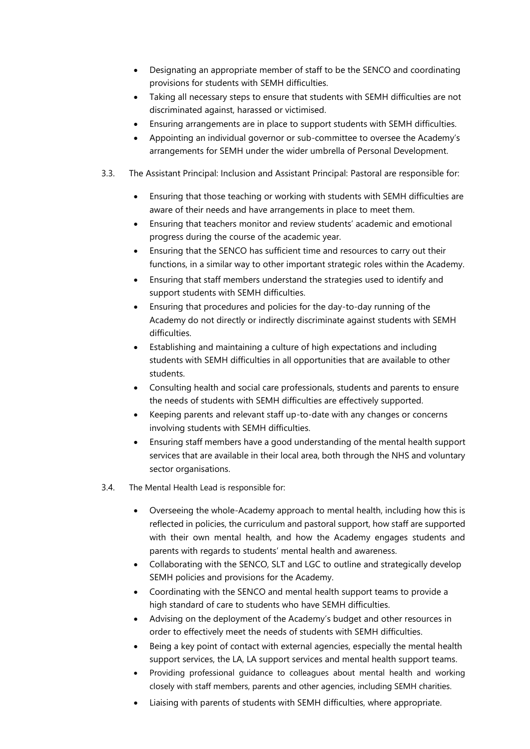- Designating an appropriate member of staff to be the SENCO and coordinating provisions for students with SEMH difficulties.
- Taking all necessary steps to ensure that students with SEMH difficulties are not discriminated against, harassed or victimised.
- Ensuring arrangements are in place to support students with SEMH difficulties.
- Appointing an individual governor or sub-committee to oversee the Academy's arrangements for SEMH under the wider umbrella of Personal Development.
- 3.3. The Assistant Principal: Inclusion and Assistant Principal: Pastoral are responsible for:
	- Ensuring that those teaching or working with students with SEMH difficulties are aware of their needs and have arrangements in place to meet them.
	- Ensuring that teachers monitor and review students' academic and emotional progress during the course of the academic year.
	- Ensuring that the SENCO has sufficient time and resources to carry out their functions, in a similar way to other important strategic roles within the Academy.
	- Ensuring that staff members understand the strategies used to identify and support students with SEMH difficulties.
	- Ensuring that procedures and policies for the day-to-day running of the Academy do not directly or indirectly discriminate against students with SEMH difficulties.
	- Establishing and maintaining a culture of high expectations and including students with SEMH difficulties in all opportunities that are available to other students.
	- Consulting health and social care professionals, students and parents to ensure the needs of students with SEMH difficulties are effectively supported.
	- Keeping parents and relevant staff up-to-date with any changes or concerns involving students with SEMH difficulties.
	- Ensuring staff members have a good understanding of the mental health support services that are available in their local area, both through the NHS and voluntary sector organisations.
- 3.4. The Mental Health Lead is responsible for:
	- Overseeing the whole-Academy approach to mental health, including how this is reflected in policies, the curriculum and pastoral support, how staff are supported with their own mental health, and how the Academy engages students and parents with regards to students' mental health and awareness.
	- Collaborating with the SENCO, SLT and LGC to outline and strategically develop SEMH policies and provisions for the Academy.
	- Coordinating with the SENCO and mental health support teams to provide a high standard of care to students who have SEMH difficulties.
	- Advising on the deployment of the Academy's budget and other resources in order to effectively meet the needs of students with SEMH difficulties.
	- Being a key point of contact with external agencies, especially the mental health support services, the LA, LA support services and mental health support teams.
	- Providing professional guidance to colleagues about mental health and working closely with staff members, parents and other agencies, including SEMH charities.
	- Liaising with parents of students with SEMH difficulties, where appropriate.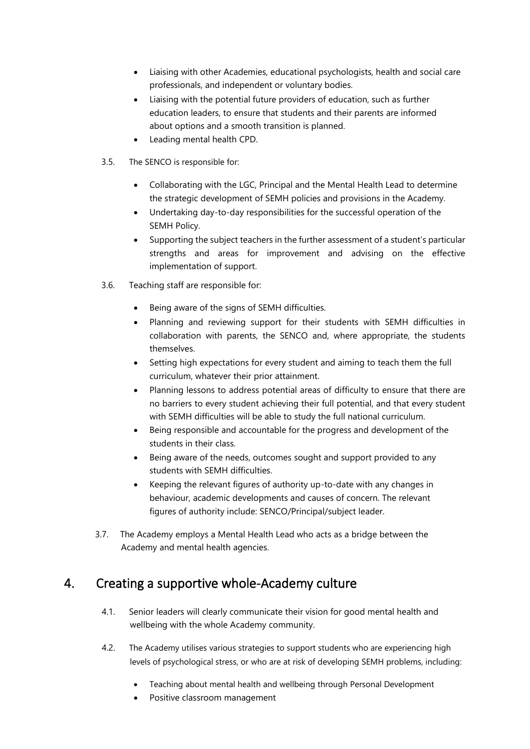- Liaising with other Academies, educational psychologists, health and social care professionals, and independent or voluntary bodies.
- Liaising with the potential future providers of education, such as further education leaders, to ensure that students and their parents are informed about options and a smooth transition is planned.
- Leading mental health CPD.
- 3.5. The SENCO is responsible for:
	- Collaborating with the LGC, Principal and the Mental Health Lead to determine the strategic development of SEMH policies and provisions in the Academy.
	- Undertaking day-to-day responsibilities for the successful operation of the SEMH Policy.
	- Supporting the subject teachers in the further assessment of a student's particular strengths and areas for improvement and advising on the effective implementation of support.
- 3.6. Teaching staff are responsible for:
	- Being aware of the signs of SEMH difficulties.
	- Planning and reviewing support for their students with SEMH difficulties in collaboration with parents, the SENCO and, where appropriate, the students themselves.
	- Setting high expectations for every student and aiming to teach them the full curriculum, whatever their prior attainment.
	- Planning lessons to address potential areas of difficulty to ensure that there are no barriers to every student achieving their full potential, and that every student with SEMH difficulties will be able to study the full national curriculum.
	- Being responsible and accountable for the progress and development of the students in their class.
	- Being aware of the needs, outcomes sought and support provided to any students with SEMH difficulties.
	- Keeping the relevant figures of authority up-to-date with any changes in behaviour, academic developments and causes of concern. The relevant figures of authority include: SENCO/Principal/subject leader.
- 3.7. The Academy employs a Mental Health Lead who acts as a bridge between the Academy and mental health agencies.

## <span id="page-7-0"></span>4. Creating a supportive whole-Academy culture

- 4.1. Senior leaders will clearly communicate their vision for good mental health and wellbeing with the whole Academy community.
- 4.2. The Academy utilises various strategies to support students who are experiencing high levels of psychological stress, or who are at risk of developing SEMH problems, including:
	- Teaching about mental health and wellbeing through Personal Development
	- Positive classroom management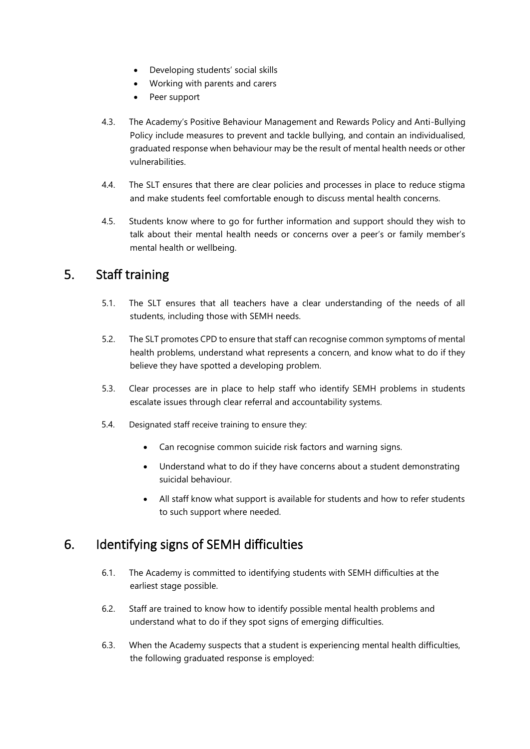- Developing students' social skills
- Working with parents and carers
- Peer support
- 4.3. The Academy's Positive Behaviour Management and Rewards Policy and Anti-Bullying Policy include measures to prevent and tackle bullying, and contain an individualised, graduated response when behaviour may be the result of mental health needs or other vulnerabilities.
- 4.4. The SLT ensures that there are clear policies and processes in place to reduce stigma and make students feel comfortable enough to discuss mental health concerns.
- 4.5. Students know where to go for further information and support should they wish to talk about their mental health needs or concerns over a peer's or family member's mental health or wellbeing.

## <span id="page-8-0"></span>5. Staff training

- 5.1. The SLT ensures that all teachers have a clear understanding of the needs of all students, including those with SEMH needs.
- 5.2. The SLT promotes CPD to ensure that staff can recognise common symptoms of mental health problems, understand what represents a concern, and know what to do if they believe they have spotted a developing problem.
- 5.3. Clear processes are in place to help staff who identify SEMH problems in students escalate issues through clear referral and accountability systems.
- 5.4. Designated staff receive training to ensure they:
	- Can recognise common suicide risk factors and warning signs.
	- Understand what to do if they have concerns about a student demonstrating suicidal behaviour.
	- All staff know what support is available for students and how to refer students to such support where needed.

## <span id="page-8-1"></span>6. Identifying signs of SEMH difficulties

- 6.1. The Academy is committed to identifying students with SEMH difficulties at the earliest stage possible.
- 6.2. Staff are trained to know how to identify possible mental health problems and understand what to do if they spot signs of emerging difficulties.
- 6.3. When the Academy suspects that a student is experiencing mental health difficulties, the following graduated response is employed: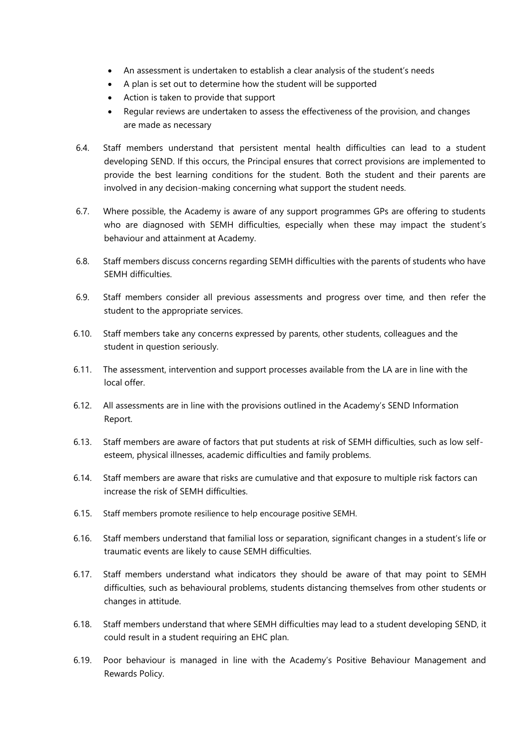- An assessment is undertaken to establish a clear analysis of the student's needs
- A plan is set out to determine how the student will be supported
- Action is taken to provide that support
- Regular reviews are undertaken to assess the effectiveness of the provision, and changes are made as necessary
- 6.4. Staff members understand that persistent mental health difficulties can lead to a student developing SEND. If this occurs, the Principal ensures that correct provisions are implemented to provide the best learning conditions for the student. Both the student and their parents are involved in any decision-making concerning what support the student needs.
- 6.7. Where possible, the Academy is aware of any support programmes GPs are offering to students who are diagnosed with SEMH difficulties, especially when these may impact the student's behaviour and attainment at Academy.
- 6.8. Staff members discuss concerns regarding SEMH difficulties with the parents of students who have SEMH difficulties.
- 6.9. Staff members consider all previous assessments and progress over time, and then refer the student to the appropriate services.
- 6.10. Staff members take any concerns expressed by parents, other students, colleagues and the student in question seriously.
- 6.11. The assessment, intervention and support processes available from the LA are in line with the local offer.
- 6.12. All assessments are in line with the provisions outlined in the Academy's SEND Information Report.
- 6.13. Staff members are aware of factors that put students at risk of SEMH difficulties, such as low selfesteem, physical illnesses, academic difficulties and family problems.
- 6.14. Staff members are aware that risks are cumulative and that exposure to multiple risk factors can increase the risk of SEMH difficulties.
- 6.15. Staff members promote resilience to help encourage positive SEMH.
- 6.16. Staff members understand that familial loss or separation, significant changes in a student's life or traumatic events are likely to cause SEMH difficulties.
- 6.17. Staff members understand what indicators they should be aware of that may point to SEMH difficulties, such as behavioural problems, students distancing themselves from other students or changes in attitude.
- 6.18. Staff members understand that where SEMH difficulties may lead to a student developing SEND, it could result in a student requiring an EHC plan.
- 6.19. Poor behaviour is managed in line with the Academy's Positive Behaviour Management and Rewards Policy.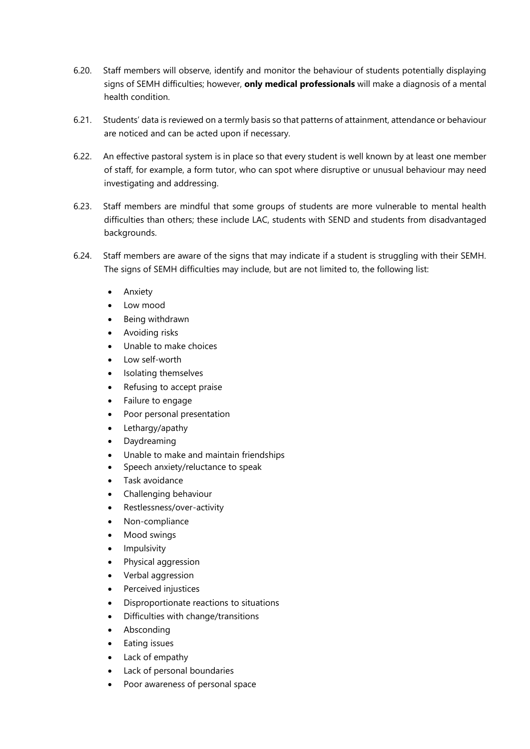- 6.20. Staff members will observe, identify and monitor the behaviour of students potentially displaying signs of SEMH difficulties; however, **only medical professionals** will make a diagnosis of a mental health condition.
- 6.21. Students' data is reviewed on a termly basis so that patterns of attainment, attendance or behaviour are noticed and can be acted upon if necessary.
- 6.22. An effective pastoral system is in place so that every student is well known by at least one member of staff, for example, a form tutor, who can spot where disruptive or unusual behaviour may need investigating and addressing.
- 6.23. Staff members are mindful that some groups of students are more vulnerable to mental health difficulties than others; these include LAC, students with SEND and students from disadvantaged backgrounds.
- 6.24. Staff members are aware of the signs that may indicate if a student is struggling with their SEMH. The signs of SEMH difficulties may include, but are not limited to, the following list:
	- Anxiety
	- Low mood
	- Being withdrawn
	- Avoiding risks
	- Unable to make choices
	- Low self-worth
	- Isolating themselves
	- Refusing to accept praise
	- Failure to engage
	- Poor personal presentation
	- Lethargy/apathy
	- Daydreaming
	- Unable to make and maintain friendships
	- Speech anxiety/reluctance to speak
	- Task avoidance
	- Challenging behaviour
	- Restlessness/over-activity
	- Non-compliance
	- Mood swings
	- **Impulsivity**
	- Physical aggression
	- Verbal aggression
	- Perceived injustices
	- Disproportionate reactions to situations
	- Difficulties with change/transitions
	- Absconding
	- Eating issues
	- Lack of empathy
	- Lack of personal boundaries
	- Poor awareness of personal space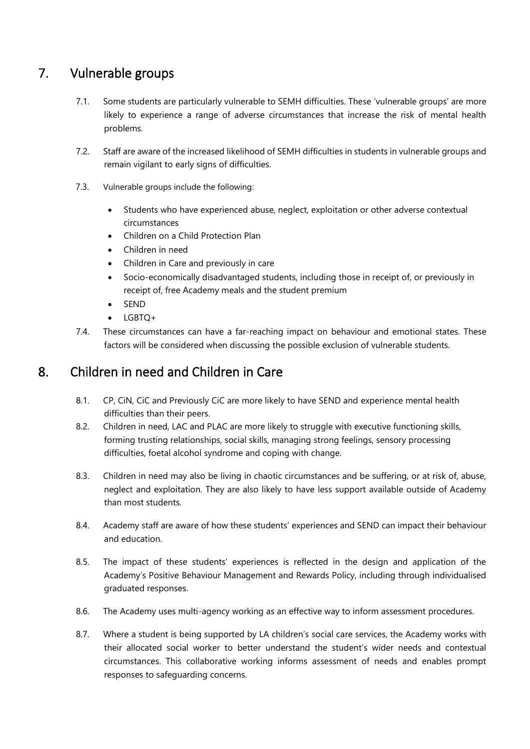# <span id="page-11-0"></span>7. Vulnerable groups

- 7.1. Some students are particularly vulnerable to SEMH difficulties. These 'vulnerable groups' are more likely to experience a range of adverse circumstances that increase the risk of mental health problems.
- 7.2. Staff are aware of the increased likelihood of SEMH difficulties in students in vulnerable groups and remain vigilant to early signs of difficulties.
- 7.3. Vulnerable groups include the following:
	- Students who have experienced abuse, neglect, exploitation or other adverse contextual circumstances
	- Children on a Child Protection Plan
	- Children in need
	- Children in Care and previously in care
	- Socio-economically disadvantaged students, including those in receipt of, or previously in receipt of, free Academy meals and the student premium
	- SEND
	- LGBTQ+
- 7.4. These circumstances can have a far-reaching impact on behaviour and emotional states. These factors will be considered when discussing the possible exclusion of vulnerable students.

## <span id="page-11-1"></span>8. Children in need and Children in Care

- 8.1. CP, CiN, CiC and Previously CiC are more likely to have SEND and experience mental health difficulties than their peers.
- 8.2. Children in need, LAC and PLAC are more likely to struggle with executive functioning skills, forming trusting relationships, social skills, managing strong feelings, sensory processing difficulties, foetal alcohol syndrome and coping with change.
- 8.3. Children in need may also be living in chaotic circumstances and be suffering, or at risk of, abuse, neglect and exploitation. They are also likely to have less support available outside of Academy than most students.
- 8.4. Academy staff are aware of how these students' experiences and SEND can impact their behaviour and education.
- 8.5. The impact of these students' experiences is reflected in the design and application of the Academy's Positive Behaviour Management and Rewards Policy, including through individualised graduated responses.
- 8.6. The Academy uses multi-agency working as an effective way to inform assessment procedures.
- 8.7. Where a student is being supported by LA children's social care services, the Academy works with their allocated social worker to better understand the student's wider needs and contextual circumstances. This collaborative working informs assessment of needs and enables prompt responses to safeguarding concerns.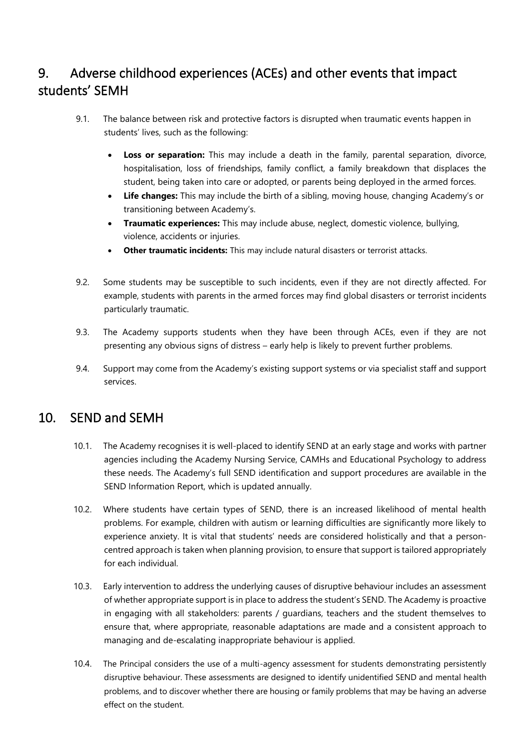# <span id="page-12-0"></span>9. Adverse childhood experiences (ACEs) and other events that impact students' SEMH

- 9.1. The balance between risk and protective factors is disrupted when traumatic events happen in students' lives, such as the following:
	- **Loss or separation:** This may include a death in the family, parental separation, divorce, hospitalisation, loss of friendships, family conflict, a family breakdown that displaces the student, being taken into care or adopted, or parents being deployed in the armed forces.
	- **Life changes:** This may include the birth of a sibling, moving house, changing Academy's or transitioning between Academy's.
	- **Traumatic experiences:** This may include abuse, neglect, domestic violence, bullying, violence, accidents or injuries.
	- **Other traumatic incidents:** This may include natural disasters or terrorist attacks.
- 9.2. Some students may be susceptible to such incidents, even if they are not directly affected. For example, students with parents in the armed forces may find global disasters or terrorist incidents particularly traumatic.
- 9.3. The Academy supports students when they have been through ACEs, even if they are not presenting any obvious signs of distress – early help is likely to prevent further problems.
- 9.4. Support may come from the Academy's existing support systems or via specialist staff and support services.

## <span id="page-12-1"></span>10. SEND and SEMH

- 10.1. The Academy recognises it is well-placed to identify SEND at an early stage and works with partner agencies including the Academy Nursing Service, CAMHs and Educational Psychology to address these needs. The Academy's full SEND identification and support procedures are available in the SEND Information Report, which is updated annually.
- 10.2. Where students have certain types of SEND, there is an increased likelihood of mental health problems. For example, children with autism or learning difficulties are significantly more likely to experience anxiety. It is vital that students' needs are considered holistically and that a personcentred approach is taken when planning provision, to ensure that support is tailored appropriately for each individual.
- 10.3. Early intervention to address the underlying causes of disruptive behaviour includes an assessment of whether appropriate support is in place to address the student's SEND. The Academy is proactive in engaging with all stakeholders: parents / guardians, teachers and the student themselves to ensure that, where appropriate, reasonable adaptations are made and a consistent approach to managing and de-escalating inappropriate behaviour is applied.
- 10.4. The Principal considers the use of a multi-agency assessment for students demonstrating persistently disruptive behaviour. These assessments are designed to identify unidentified SEND and mental health problems, and to discover whether there are housing or family problems that may be having an adverse effect on the student.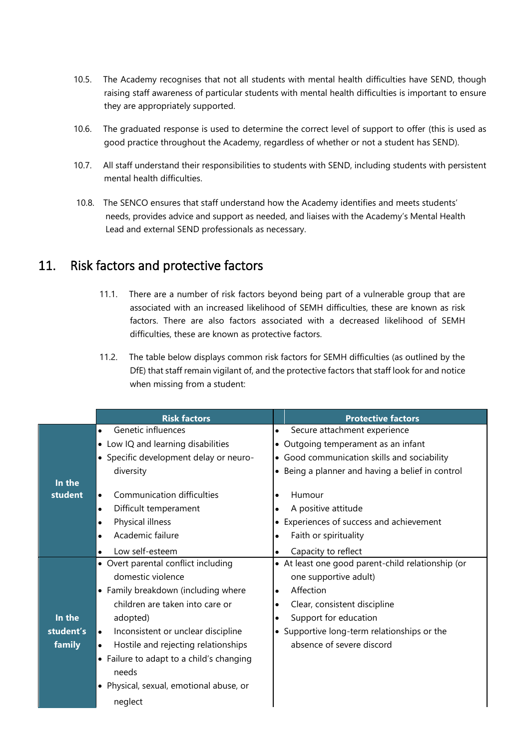- 10.5. The Academy recognises that not all students with mental health difficulties have SEND, though raising staff awareness of particular students with mental health difficulties is important to ensure they are appropriately supported.
- 10.6. The graduated response is used to determine the correct level of support to offer (this is used as good practice throughout the Academy, regardless of whether or not a student has SEND).
- 10.7. All staff understand their responsibilities to students with SEND, including students with persistent mental health difficulties.
- 10.8. The SENCO ensures that staff understand how the Academy identifies and meets students' needs, provides advice and support as needed, and liaises with the Academy's Mental Health Lead and external SEND professionals as necessary.

#### <span id="page-13-0"></span>11. Risk factors and protective factors

- 11.1. There are a number of risk factors beyond being part of a vulnerable group that are associated with an increased likelihood of SEMH difficulties, these are known as risk factors. There are also factors associated with a decreased likelihood of SEMH difficulties, these are known as protective factors.
- 11.2. The table below displays common risk factors for SEMH difficulties (as outlined by the DfE) that staff remain vigilant of, and the protective factors that staff look for and notice when missing from a student:

|                                    | <b>Risk factors</b>                                                                            | <b>Protective factors</b>                         |  |
|------------------------------------|------------------------------------------------------------------------------------------------|---------------------------------------------------|--|
|                                    | Genetic influences<br>$\bullet$                                                                | Secure attachment experience<br>$\bullet$         |  |
| • Low IQ and learning disabilities |                                                                                                | • Outgoing temperament as an infant               |  |
|                                    | • Specific development delay or neuro-                                                         | • Good communication skills and sociability       |  |
|                                    | diversity                                                                                      | • Being a planner and having a belief in control  |  |
| In the                             |                                                                                                |                                                   |  |
| student                            | Communication difficulties<br>$\bullet$                                                        | Humour                                            |  |
|                                    | Difficult temperament<br>$\bullet$                                                             | A positive attitude                               |  |
|                                    | Physical illness<br>$\bullet$                                                                  | Experiences of success and achievement            |  |
|                                    | Academic failure<br>$\bullet$                                                                  | Faith or spirituality<br>$\bullet$                |  |
|                                    | Low self-esteem<br>$\bullet$                                                                   | Capacity to reflect                               |  |
|                                    | • Overt parental conflict including                                                            | • At least one good parent-child relationship (or |  |
|                                    | domestic violence                                                                              | one supportive adult)                             |  |
|                                    | • Family breakdown (including where                                                            | Affection<br>$\bullet$                            |  |
|                                    | children are taken into care or                                                                | Clear, consistent discipline<br>٠                 |  |
| In the<br>adopted)                 |                                                                                                | Support for education<br>$\bullet$                |  |
| student's                          | Inconsistent or unclear discipline<br>• Supportive long-term relationships or the<br>$\bullet$ |                                                   |  |
| family                             | Hostile and rejecting relationships<br>$\bullet$                                               | absence of severe discord                         |  |
|                                    | • Failure to adapt to a child's changing                                                       |                                                   |  |
|                                    | needs                                                                                          |                                                   |  |
|                                    | • Physical, sexual, emotional abuse, or                                                        |                                                   |  |
|                                    | neglect                                                                                        |                                                   |  |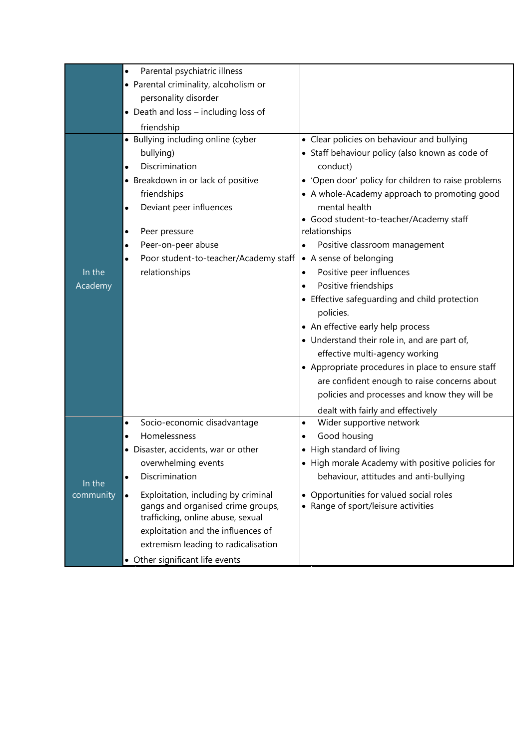|           | Parental psychiatric illness<br>$\bullet$        |                                                     |
|-----------|--------------------------------------------------|-----------------------------------------------------|
|           | • Parental criminality, alcoholism or            |                                                     |
|           | personality disorder                             |                                                     |
|           | • Death and loss - including loss of             |                                                     |
|           | friendship                                       |                                                     |
|           | • Bullying including online (cyber               | • Clear policies on behaviour and bullying          |
|           | bullying)                                        | • Staff behaviour policy (also known as code of     |
|           | Discrimination<br>$\bullet$                      | conduct)                                            |
|           | • Breakdown in or lack of positive               | • 'Open door' policy for children to raise problems |
|           | friendships                                      | • A whole-Academy approach to promoting good        |
|           | Deviant peer influences<br>$\bullet$             | mental health                                       |
|           |                                                  | • Good student-to-teacher/Academy staff             |
|           | Peer pressure<br>٠                               | relationships                                       |
|           | Peer-on-peer abuse<br>$\bullet$                  | Positive classroom management<br>$\bullet$          |
|           | Poor student-to-teacher/Academy staff            | • A sense of belonging                              |
| In the    | relationships                                    | Positive peer influences<br>$\bullet$               |
| Academy   |                                                  | Positive friendships                                |
|           |                                                  | • Effective safeguarding and child protection       |
|           |                                                  | policies.                                           |
|           |                                                  | • An effective early help process                   |
|           |                                                  | • Understand their role in, and are part of,        |
|           |                                                  | effective multi-agency working                      |
|           |                                                  | • Appropriate procedures in place to ensure staff   |
|           |                                                  | are confident enough to raise concerns about        |
|           |                                                  | policies and processes and know they will be        |
|           |                                                  | dealt with fairly and effectively                   |
|           | Socio-economic disadvantage<br>$\bullet$         | Wider supportive network<br>$\bullet$               |
|           | Homelessness<br>$\bullet$                        | Good housing<br>$\bullet$                           |
|           | · Disaster, accidents, war or other              | High standard of living                             |
|           | overwhelming events                              | • High morale Academy with positive policies for    |
| In the    | Discrimination<br>$\bullet$                      | behaviour, attitudes and anti-bullying              |
| community | Exploitation, including by criminal<br>$\bullet$ | Opportunities for valued social roles<br>$\bullet$  |
|           | gangs and organised crime groups,                | • Range of sport/leisure activities                 |
|           | trafficking, online abuse, sexual                |                                                     |
|           | exploitation and the influences of               |                                                     |
|           | extremism leading to radicalisation              |                                                     |
|           | • Other significant life events                  |                                                     |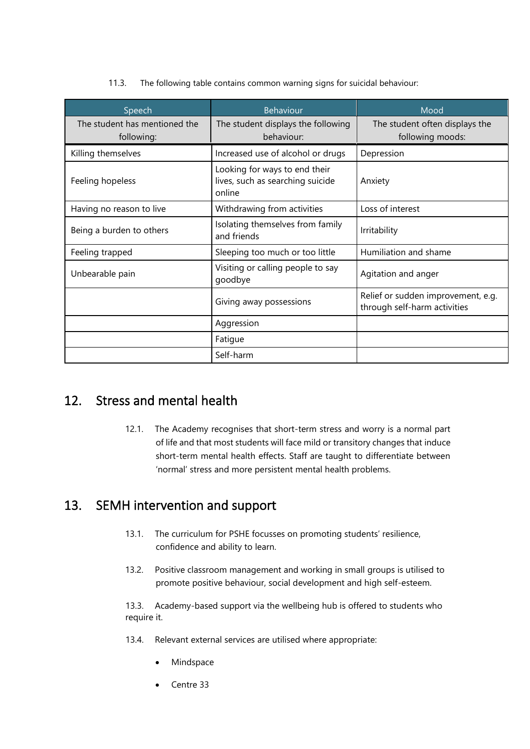11.3. The following table contains common warning signs for suicidal behaviour:

| Speech                                      | Behaviour                                                                   | Mood                                                               |
|---------------------------------------------|-----------------------------------------------------------------------------|--------------------------------------------------------------------|
| The student has mentioned the<br>following: | The student displays the following<br>behaviour:                            | The student often displays the<br>following moods:                 |
| Killing themselves                          | Increased use of alcohol or drugs                                           | Depression                                                         |
| Feeling hopeless                            | Looking for ways to end their<br>lives, such as searching suicide<br>online | Anxiety                                                            |
| Having no reason to live                    | Withdrawing from activities                                                 | Loss of interest                                                   |
| Being a burden to others                    | Isolating themselves from family<br>and friends                             | Irritability                                                       |
| Feeling trapped                             | Sleeping too much or too little                                             | Humiliation and shame                                              |
| Unbearable pain                             | Visiting or calling people to say<br>goodbye                                | Agitation and anger                                                |
|                                             | Giving away possessions                                                     | Relief or sudden improvement, e.g.<br>through self-harm activities |
|                                             | Aggression                                                                  |                                                                    |
|                                             | Fatigue                                                                     |                                                                    |
|                                             | Self-harm                                                                   |                                                                    |

## <span id="page-15-0"></span>12. Stress and mental health

12.1. The Academy recognises that short-term stress and worry is a normal part of life and that most students will face mild or transitory changes that induce short-term mental health effects. Staff are taught to differentiate between 'normal' stress and more persistent mental health problems.

# <span id="page-15-1"></span>13. SEMH intervention and support

- 13.1. The curriculum for PSHE focusses on promoting students' resilience, confidence and ability to learn.
- 13.2. Positive classroom management and working in small groups is utilised to promote positive behaviour, social development and high self-esteem.

13.3. Academy-based support via the wellbeing hub is offered to students who require it.

- 13.4. Relevant external services are utilised where appropriate:
	- **Mindspace**
	- Centre 33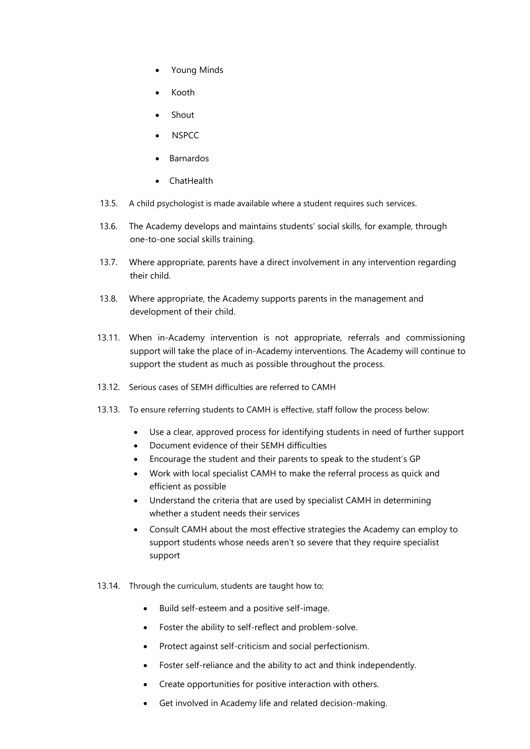- Young Minds
- Kooth
- Shout
- NSPCC
- Barnardos
- ChatHealth
- 13.5. A child psychologist is made available where a student requires such services.
- 13.6. The Academy develops and maintains students' social skills, for example, through one-to-one social skills training.
- 13.7. Where appropriate, parents have a direct involvement in any intervention regarding their child.
- 13.8. Where appropriate, the Academy supports parents in the management and development of their child.
- 13.11. When in-Academy intervention is not appropriate, referrals and commissioning support will take the place of in-Academy interventions. The Academy will continue to support the student as much as possible throughout the process.
- 13.12. Serious cases of SEMH difficulties are referred to CAMH
- 13.13. To ensure referring students to CAMH is effective, staff follow the process below:
	- Use a clear, approved process for identifying students in need of further support
	- Document evidence of their SEMH difficulties
	- Encourage the student and their parents to speak to the student's GP
	- Work with local specialist CAMH to make the referral process as quick and efficient as possible
	- Understand the criteria that are used by specialist CAMH in determining whether a student needs their services
	- Consult CAMH about the most effective strategies the Academy can employ to support students whose needs aren't so severe that they require specialist support
- 13.14. Through the curriculum, students are taught how to:
	- Build self-esteem and a positive self-image.
	- Foster the ability to self-reflect and problem-solve.
	- Protect against self-criticism and social perfectionism.
	- Foster self-reliance and the ability to act and think independently.
	- Create opportunities for positive interaction with others.
	- Get involved in Academy life and related decision-making.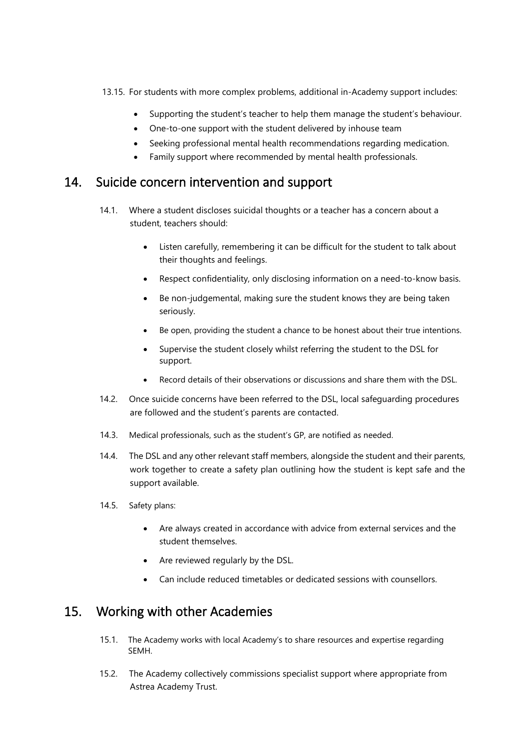- 13.15. For students with more complex problems, additional in-Academy support includes:
	- Supporting the student's teacher to help them manage the student's behaviour.
	- One-to-one support with the student delivered by inhouse team
	- Seeking professional mental health recommendations regarding medication.
	- Family support where recommended by mental health professionals.

#### <span id="page-17-0"></span>14. Suicide concern intervention and support

- 14.1. Where a student discloses suicidal thoughts or a teacher has a concern about a student, teachers should:
	- Listen carefully, remembering it can be difficult for the student to talk about their thoughts and feelings.
	- Respect confidentiality, only disclosing information on a need-to-know basis.
	- Be non-judgemental, making sure the student knows they are being taken seriously.
	- Be open, providing the student a chance to be honest about their true intentions.
	- Supervise the student closely whilst referring the student to the DSL for support.
	- Record details of their observations or discussions and share them with the DSL.
- 14.2. Once suicide concerns have been referred to the DSL, local safeguarding procedures are followed and the student's parents are contacted.
- 14.3. Medical professionals, such as the student's GP, are notified as needed.
- 14.4. The DSL and any other relevant staff members, alongside the student and their parents, work together to create a safety plan outlining how the student is kept safe and the support available.
- 14.5. Safety plans:
	- Are always created in accordance with advice from external services and the student themselves.
	- Are reviewed regularly by the DSL.
	- Can include reduced timetables or dedicated sessions with counsellors.

#### <span id="page-17-1"></span>15. Working with other Academies

- 15.1. The Academy works with local Academy's to share resources and expertise regarding SEMH.
- 15.2. The Academy collectively commissions specialist support where appropriate from Astrea Academy Trust.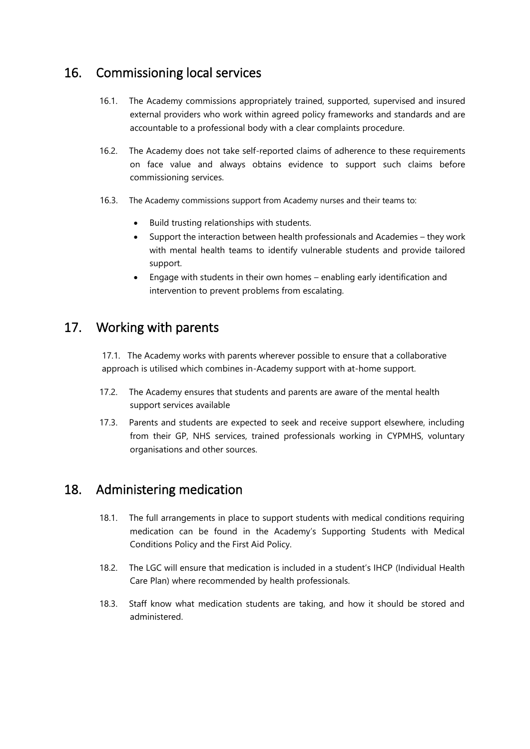#### <span id="page-18-0"></span>16. Commissioning local services

- 16.1. The Academy commissions appropriately trained, supported, supervised and insured external providers who work within agreed policy frameworks and standards and are accountable to a professional body with a clear complaints procedure.
- 16.2. The Academy does not take self-reported claims of adherence to these requirements on face value and always obtains evidence to support such claims before commissioning services.
- 16.3. The Academy commissions support from Academy nurses and their teams to:
	- Build trusting relationships with students.
	- Support the interaction between health professionals and Academies they work with mental health teams to identify vulnerable students and provide tailored support.
	- Engage with students in their own homes enabling early identification and intervention to prevent problems from escalating.

#### <span id="page-18-1"></span>17. Working with parents

17.1. The Academy works with parents wherever possible to ensure that a collaborative approach is utilised which combines in-Academy support with at-home support.

- 17.2. The Academy ensures that students and parents are aware of the mental health support services available
- 17.3. Parents and students are expected to seek and receive support elsewhere, including from their GP, NHS services, trained professionals working in CYPMHS, voluntary organisations and other sources.

#### <span id="page-18-2"></span>18. Administering medication

- 18.1. The full arrangements in place to support students with medical conditions requiring medication can be found in the Academy's Supporting Students with Medical Conditions Policy and the First Aid Policy.
- 18.2. The LGC will ensure that medication is included in a student's IHCP (Individual Health Care Plan) where recommended by health professionals.
- 18.3. Staff know what medication students are taking, and how it should be stored and administered.